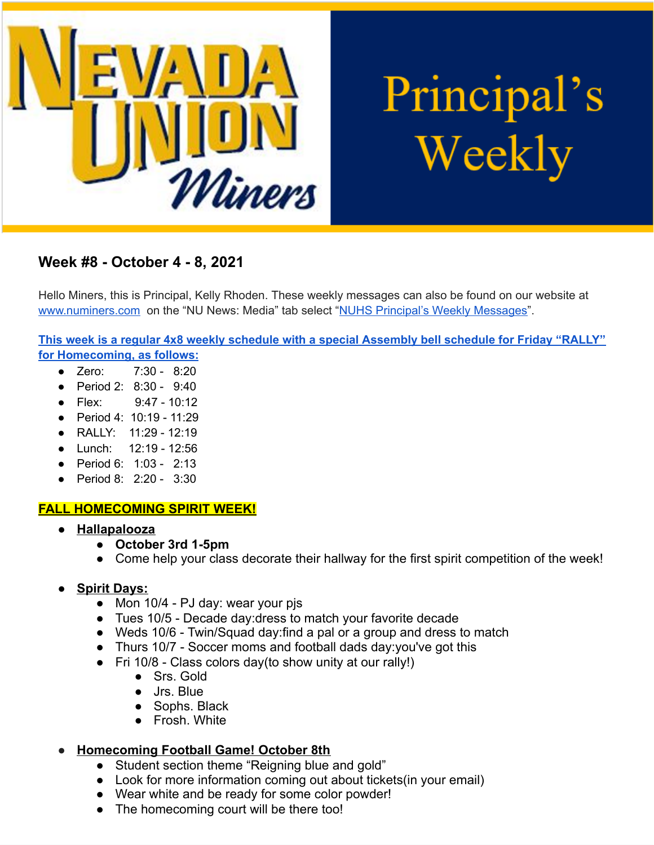

# Principal's Weekly

## **Week #8 - October 4 - 8, 2021**

Hello Miners, this is Principal, Kelly Rhoden. These weekly messages can also be found on our website at [www.numiners.com](http://www.numiners.com/) on the "NU News: Media" tab select "NUHS Principal's Weekly [Messages"](https://nevadaunion.njuhsd.com/NU-NewsMedia/NUHS-Principals-Weekly-Messages/index.html).

**This week is a regular 4x8 weekly [schedule](https://nevadaunion.njuhsd.com/documents/Bell%20Schedules/Bell-Schedule-2021-2022-NUHS-4x8.pdf) with a special Assembly bell schedule for Friday "RALLY" for Homecoming, as follows:**

- Zero: 7:30 8:20
- Period 2: 8:30 9:40
- Flex: 9:47 10:12
- Period 4: 10:19 11:29
- RALLY: 11:29 12:19
- Lunch: 12:19 12:56
- Period 6: 1:03 2:13
- Period 8: 2:20 3:30

### **FALL HOMECOMING SPIRIT WEEK!**

- **● Hallapalooza**
	- **● October 3rd 1-5pm**
	- **●** Come help your class decorate their hallway for the first spirit competition of the week!
- **● Spirit Days:**
	- Mon 10/4 PJ day: wear your pjs
	- Tues 10/5 Decade day:dress to match your favorite decade
	- Weds 10/6 Twin/Squad day:find a pal or a group and dress to match
	- Thurs 10/7 Soccer moms and football dads day:you've got this
	- $\bullet$  Fri 10/8 Class colors day(to show unity at our rally!)
		- Srs. Gold
		- Jrs. Blue
		- Sophs. Black
		- Frosh. White
- **● Homecoming Football Game! October 8th**
	- Student section theme "Reigning blue and gold"
	- Look for more information coming out about tickets (in your email)
	- Wear white and be ready for some color powder!
	- The homecoming court will be there too!